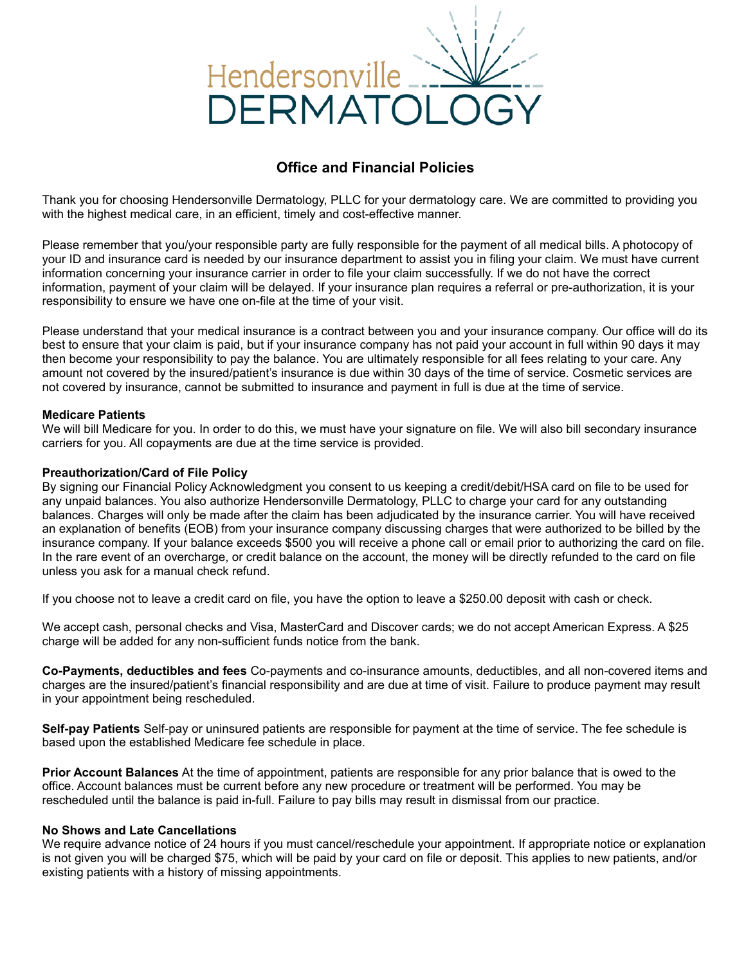

# **Office and Financial Policies**

Thank you for choosing Hendersonville Dermatology, PLLC for your dermatology care. We are committed to providing you with the highest medical care, in an efficient, timely and cost-effective manner.

Please remember that you/your responsible party are fully responsible for the payment of all medical bills. A photocopy of your ID and insurance card is needed by our insurance department to assist you in filing your claim. We must have current information concerning your insurance carrier in order to file your claim successfully. If we do not have the correct information, payment of your claim will be delayed. If your insurance plan requires a referral or pre-authorization, it is your responsibility to ensure we have one on-file at the time of your visit.

Please understand that your medical insurance is a contract between you and your insurance company. Our office will do its best to ensure that your claim is paid, but if your insurance company has not paid your account in full within 90 days it may then become your responsibility to pay the balance. You are ultimately responsible for all fees relating to your care. Any amount not covered by the insured/patient's insurance is due within 30 days of the time of service. Cosmetic services are not covered by insurance, cannot be submitted to insurance and payment in full is due at the time of service.

# **Medicare Patients**

We will bill Medicare for you. In order to do this, we must have your signature on file. We will also bill secondary insurance carriers for you. All copayments are due at the time service is provided.

# **Preauthorization/Card of File Policy**

By signing our Financial Policy Acknowledgment you consent to us keeping a credit/debit/HSA card on file to be used for any unpaid balances. You also authorize Hendersonville Dermatology, PLLC to charge your card for any outstanding balances. Charges will only be made after the claim has been adjudicated by the insurance carrier. You will have received an explanation of benefits (EOB) from your insurance company discussing charges that were authorized to be billed by the insurance company. If your balance exceeds \$500 you will receive a phone call or email prior to authorizing the card on file. In the rare event of an overcharge, or credit balance on the account, the money will be directly refunded to the card on file unless you ask for a manual check refund.

If you choose not to leave a credit card on file, you have the option to leave a \$250.00 deposit with cash or check.

We accept cash, personal checks and Visa, MasterCard and Discover cards; we do not accept American Express. A \$25 charge will be added for any non-sufficient funds notice from the bank.

**Co-Payments, deductibles and fees** Co-payments and co-insurance amounts, deductibles, and all non-covered items and charges are the insured/patient's financial responsibility and are due at time of visit. Failure to produce payment may result in your appointment being rescheduled.

**Self-pay Patients** Self-pay or uninsured patients are responsible for payment at the time of service. The fee schedule is based upon the established Medicare fee schedule in place.

**Prior Account Balances** At the time of appointment, patients are responsible for any prior balance that is owed to the office. Account balances must be current before any new procedure or treatment will be performed. You may be rescheduled until the balance is paid in-full. Failure to pay bills may result in dismissal from our practice.

# **No Shows and Late Cancellations**

We require advance notice of 24 hours if you must cancel/reschedule your appointment. If appropriate notice or explanation is not given you will be charged \$75, which will be paid by your card on file or deposit. This applies to new patients, and/or existing patients with a history of missing appointments.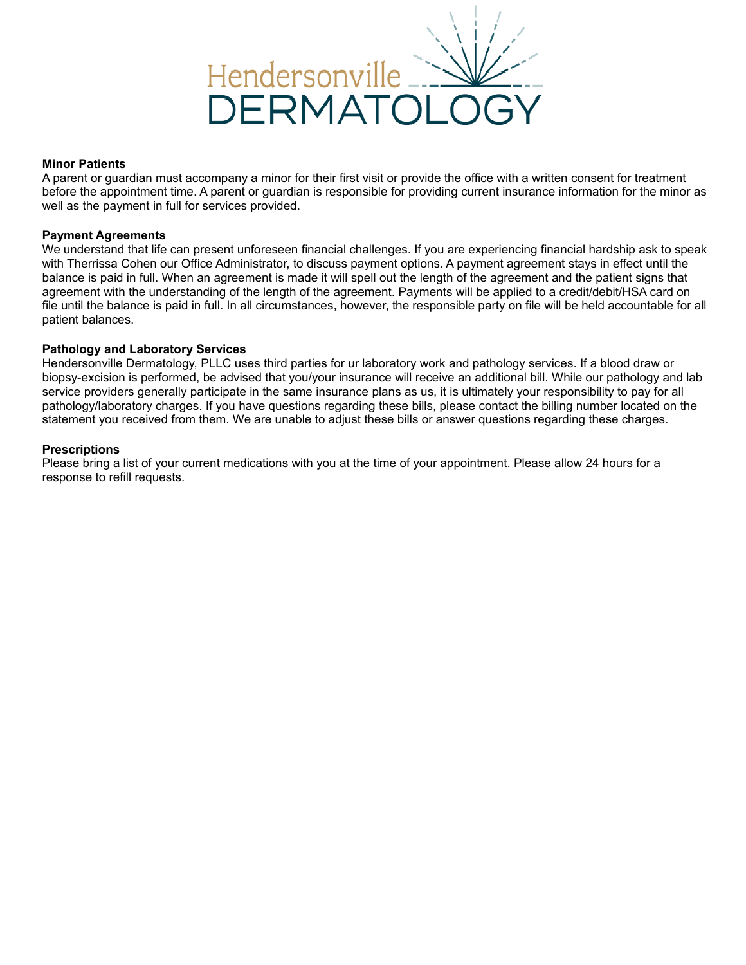

### **Minor Patients**

A parent or guardian must accompany a minor for their first visit or provide the office with a written consent for treatment before the appointment time. A parent or guardian is responsible for providing current insurance information for the minor as well as the payment in full for services provided.

#### **Payment Agreements**

We understand that life can present unforeseen financial challenges. If you are experiencing financial hardship ask to speak with Therrissa Cohen our Office Administrator, to discuss payment options. A payment agreement stays in effect until the balance is paid in full. When an agreement is made it will spell out the length of the agreement and the patient signs that agreement with the understanding of the length of the agreement. Payments will be applied to a credit/debit/HSA card on file until the balance is paid in full. In all circumstances, however, the responsible party on file will be held accountable for all patient balances.

# **Pathology and Laboratory Services**

Hendersonville Dermatology, PLLC uses third parties for ur laboratory work and pathology services. If a blood draw or biopsy-excision is performed, be advised that you/your insurance will receive an additional bill. While our pathology and lab service providers generally participate in the same insurance plans as us, it is ultimately your responsibility to pay for all pathology/laboratory charges. If you have questions regarding these bills, please contact the billing number located on the statement you received from them. We are unable to adjust these bills or answer questions regarding these charges.

#### **Prescriptions**

Please bring a list of your current medications with you at the time of your appointment. Please allow 24 hours for a response to refill requests.